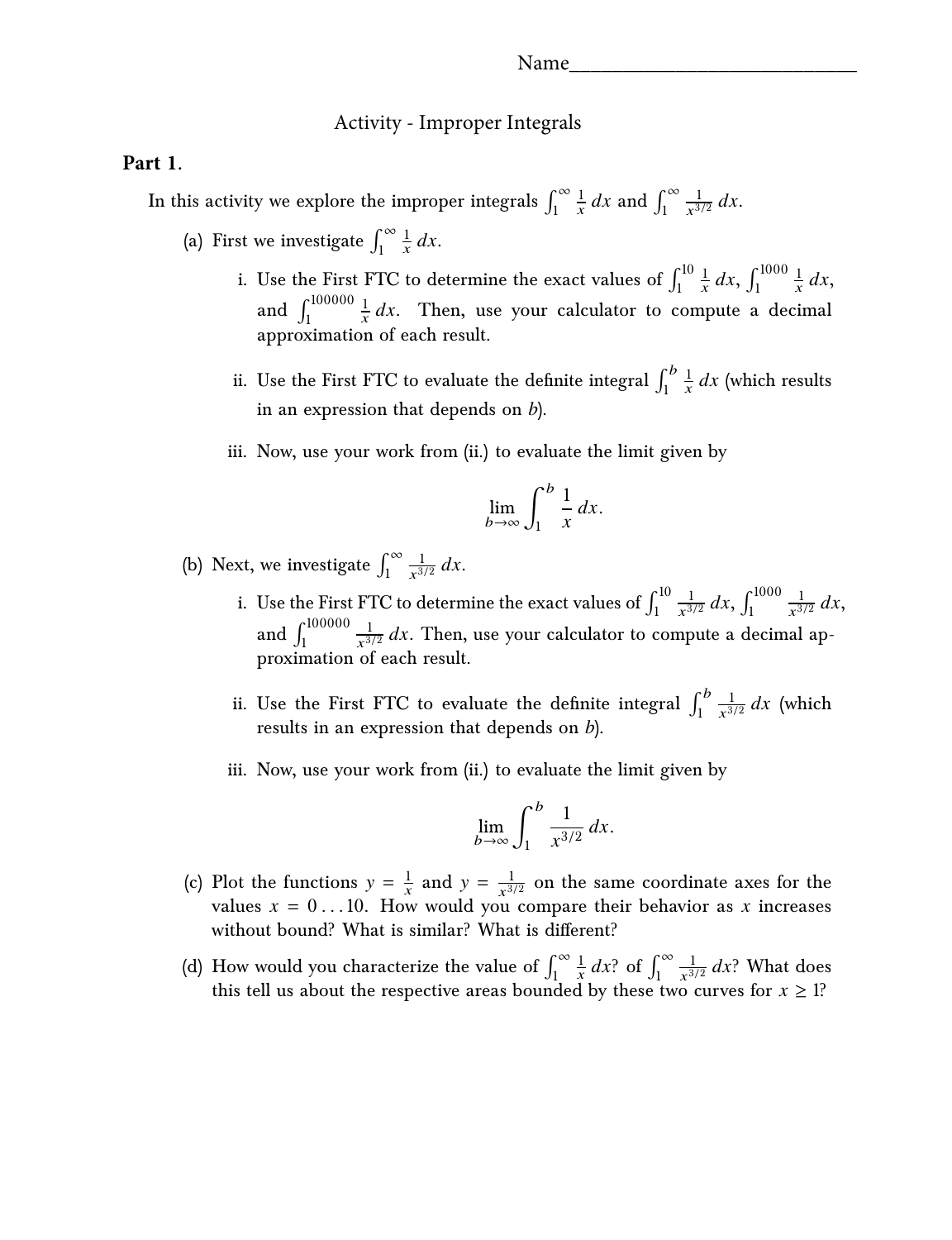## Activity - Improper Integrals

## **Part 1.**

In this activity we explore the improper integrals  $\int_1^{\infty}$  $\frac{1}{x} dx$  and  $\int_1^\infty$ 1  $rac{1}{x^{3/2}} dx$ .

- (a) First we investigate  $\int_1^\infty$  $rac{1}{x}$  dx.
	- i. Use the First FTC to determine the exact values of  $\int_1^{10}$  $\frac{1}{x} dx$ ,  $\int_1^{1000}$  $rac{1}{x}$  dx, and  $\int_1^{100000}$  $\frac{1}{x}$  dx. Then, use your calculator to compute a decimal approximation of each result.
	- ii. Use the First FTC to evaluate the definite integral  $\int_1^b$  $\frac{1}{x} dx$  (which results in an expression that depends on *b*).
	- iii. Now, use your work from (ii.) to evaluate the limit given by

$$
\lim_{b \to \infty} \int_1^b \frac{1}{x} \, dx.
$$

(b) Next, we investigate  $\int_1^\infty$ 1  $rac{1}{x^{3/2}} dx$ .

- i. Use the First FTC to determine the exact values of  $\int_1^{10}$ 1  $rac{1}{x^{3/2}} dx$ ,  $\int_1^{1000}$ 1  $rac{1}{x^{3/2}} dx$ , and  $\int_{1}^{100000}$ 1  $\frac{1}{x^{3/2}} dx$ . Then, use your calculator to compute a decimal approximation of each result.
- ii. Use the First FTC to evaluate the definite integral  $\int_1^b$ 1 Use the First FTC to evaluate the definite integral  $\int_1^b \frac{1}{x^{3/2}} dx$  (which results in an expression that depends on *b*).
- iii. Now, use your work from (ii.) to evaluate the limit given by

$$
\lim_{b \to \infty} \int_1^b \frac{1}{x^{3/2}} dx.
$$

- (c) Plot the functions  $y = \frac{1}{x}$  and  $y = \frac{1}{x^{3/2}}$  on the same coordinate axes for the values  $x = 0$ ...10. How would you compare their behavior as x increases without bound? What is similar? What is different?
- $\int_{1}^{\infty}$ (d) How would you characterize the value of  $\int_1^{\infty} \frac{1}{x} dx$ ? of  $\int_1^{\infty}$ 1  $\frac{1}{x^{3/2}} dx$ ? What does this tell us about the respective areas bounded by these two curves for  $x \geq 1$ ?